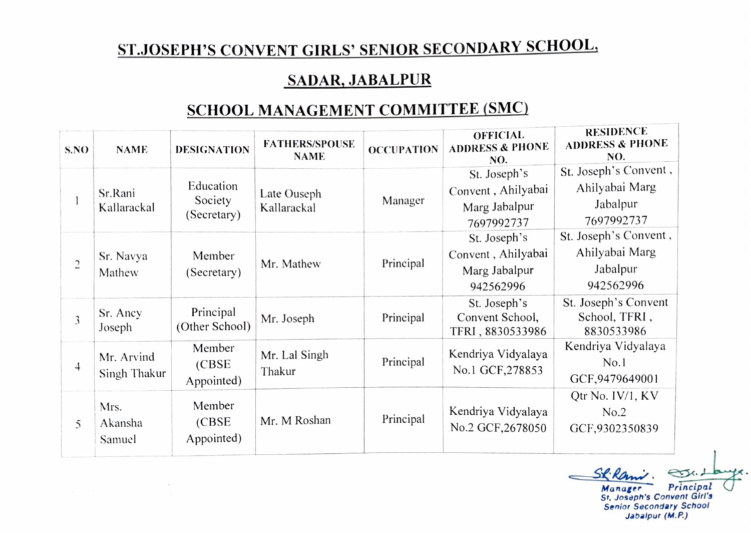## ST.JOSEPH'S CONVENT GIRLS' SENIOR SECONDARY SCHOOL,

## SADAR, JABALPUR

## SCHOOL MANAGEMENT COMMITTEE (SMC)

| S.NO           | <b>NAME</b>                | <b>DESIGNATION</b>                  | <b>FATHERS/SPOUSE</b><br><b>NAME</b> | <b>OCCUPATION</b> | <b>OFFICIAL</b><br><b>ADDRESS &amp; PHONE</b><br>NO. | <b>RESIDENCE</b><br><b>ADDRESS &amp; PHONE</b><br>NO. |
|----------------|----------------------------|-------------------------------------|--------------------------------------|-------------------|------------------------------------------------------|-------------------------------------------------------|
|                |                            |                                     |                                      |                   | St. Joseph's                                         | St. Joseph's Convent,                                 |
|                | Sr.Rani<br>Kallarackal     | Education<br>Society<br>(Secretary) | Late Ouseph<br>Kallarackal           | Manager           | Convent, Ahilyabai                                   | Ahilyabai Marg                                        |
|                |                            |                                     |                                      |                   | Marg Jabalpur                                        | Jabalpur                                              |
|                |                            |                                     |                                      |                   | 7697992737                                           | 7697992737                                            |
| $\overline{c}$ | Sr. Navya<br>Mathew        | Member<br>(Secretary)               | Mr. Mathew                           | Principal         | St. Joseph's                                         | St. Joseph's Convent,                                 |
|                |                            |                                     |                                      |                   | Convent, Ahilyabai                                   | Ahilyabai Marg                                        |
|                |                            |                                     |                                      |                   | Marg Jabalpur                                        | Jabalpur                                              |
|                |                            |                                     |                                      |                   | 942562996                                            | 942562996                                             |
| 3              | Sr. Ancy<br>Joseph         | Principal<br>(Other School)         | Mr. Joseph                           | Principal         | St. Joseph's                                         | St. Joseph's Convent                                  |
|                |                            |                                     |                                      |                   | Convent School,<br>TFRI, 8830533986                  | School, TFRI,<br>8830533986                           |
| 4              | Mr. Arvind<br>Singh Thakur | Member                              | Mr. Lal Singh<br>Thakur              | Principal         | Kendriya Vidyalaya<br>No.1 GCF, 278853               | Kendriya Vidyalaya                                    |
|                |                            | (CBSE)                              |                                      |                   |                                                      | No.1                                                  |
|                |                            | Appointed)                          |                                      |                   |                                                      | GCF, 9479649001                                       |
| 5              | Mrs.                       | Member                              | Mr. M Roshan                         | Principal         |                                                      | Qtr No. IV/1, KV                                      |
|                |                            |                                     |                                      |                   | Kendriya Vidyalaya                                   | No.2                                                  |
|                | Akansha<br>Samuel          | (CBSE)<br>Appointed)                |                                      |                   | No.2 GCF, 2678050                                    | GCF,9302350839                                        |
|                |                            |                                     |                                      |                   |                                                      |                                                       |

Sk Rami. St.

St. Joseph's Convent Girl's Senior Secondary School Jabalpur (M.P)